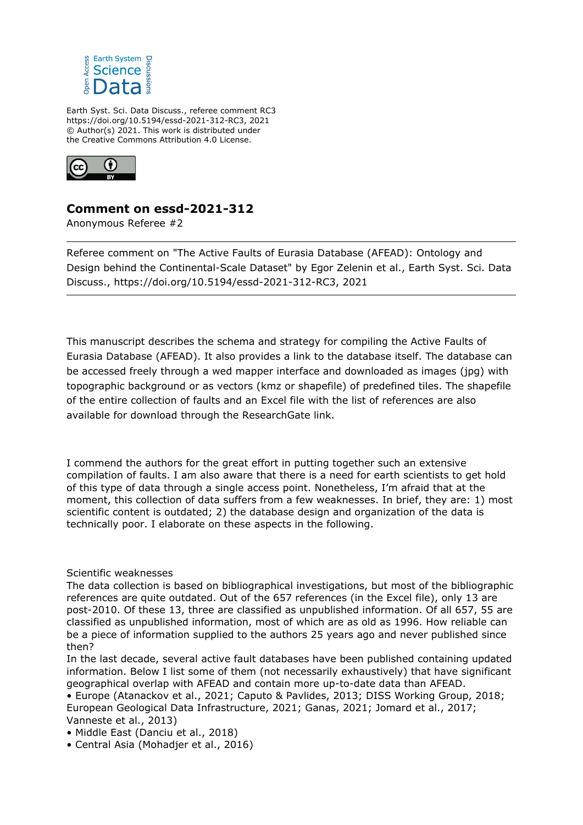

Earth Syst. Sci. Data Discuss., referee comment RC3 https://doi.org/10.5194/essd-2021-312-RC3, 2021 © Author(s) 2021. This work is distributed under the Creative Commons Attribution 4.0 License.



## **Comment on essd-2021-312**

Anonymous Referee #2

Referee comment on "The Active Faults of Eurasia Database (AFEAD): Ontology and Design behind the Continental-Scale Dataset" by Egor Zelenin et al., Earth Syst. Sci. Data Discuss., https://doi.org/10.5194/essd-2021-312-RC3, 2021

This manuscript describes the schema and strategy for compiling the Active Faults of Eurasia Database (AFEAD). It also provides a link to the database itself. The database can be accessed freely through a wed mapper interface and downloaded as images (jpg) with topographic background or as vectors (kmz or shapefile) of predefined tiles. The shapefile of the entire collection of faults and an Excel file with the list of references are also available for download through the ResearchGate link.

I commend the authors for the great effort in putting together such an extensive compilation of faults. I am also aware that there is a need for earth scientists to get hold of this type of data through a single access point. Nonetheless, I'm afraid that at the moment, this collection of data suffers from a few weaknesses. In brief, they are: 1) most scientific content is outdated; 2) the database design and organization of the data is technically poor. I elaborate on these aspects in the following.

## Scientific weaknesses

The data collection is based on bibliographical investigations, but most of the bibliographic references are quite outdated. Out of the 657 references (in the Excel file), only 13 are post-2010. Of these 13, three are classified as unpublished information. Of all 657, 55 are classified as unpublished information, most of which are as old as 1996. How reliable can be a piece of information supplied to the authors 25 years ago and never published since then?

In the last decade, several active fault databases have been published containing updated information. Below I list some of them (not necessarily exhaustively) that have significant geographical overlap with AFEAD and contain more up-to-date data than AFEAD.

• Europe (Atanackov et al., 2021; Caputo & Pavlides, 2013; DISS Working Group, 2018; European Geological Data Infrastructure, 2021; Ganas, 2021; Jomard et al., 2017; Vanneste et al., 2013)

• Middle East (Danciu et al., 2018)

• Central Asia (Mohadjer et al., 2016)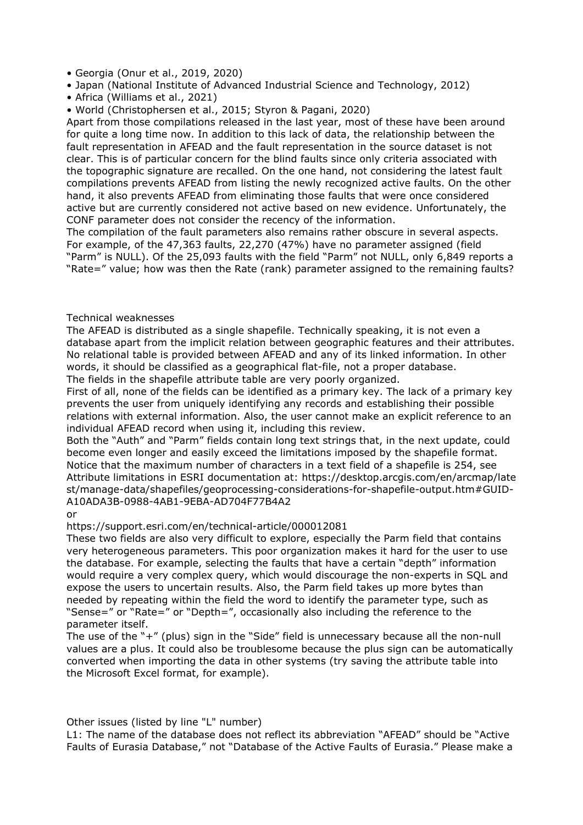• Georgia (Onur et al., 2019, 2020)

- Japan (National Institute of Advanced Industrial Science and Technology, 2012)
- Africa (Williams et al., 2021)
- World (Christophersen et al., 2015; Styron & Pagani, 2020)

Apart from those compilations released in the last year, most of these have been around for quite a long time now. In addition to this lack of data, the relationship between the fault representation in AFEAD and the fault representation in the source dataset is not clear. This is of particular concern for the blind faults since only criteria associated with the topographic signature are recalled. On the one hand, not considering the latest fault compilations prevents AFEAD from listing the newly recognized active faults. On the other hand, it also prevents AFEAD from eliminating those faults that were once considered active but are currently considered not active based on new evidence. Unfortunately, the CONF parameter does not consider the recency of the information.

The compilation of the fault parameters also remains rather obscure in several aspects. For example, of the 47,363 faults, 22,270 (47%) have no parameter assigned (field "Parm" is NULL). Of the 25,093 faults with the field "Parm" not NULL, only 6,849 reports a "Rate=" value; how was then the Rate (rank) parameter assigned to the remaining faults?

## Technical weaknesses

The AFEAD is distributed as a single shapefile. Technically speaking, it is not even a database apart from the implicit relation between geographic features and their attributes. No relational table is provided between AFEAD and any of its linked information. In other words, it should be classified as a geographical flat-file, not a proper database. The fields in the shapefile attribute table are very poorly organized.

First of all, none of the fields can be identified as a primary key. The lack of a primary key prevents the user from uniquely identifying any records and establishing their possible relations with external information. Also, the user cannot make an explicit reference to an individual AFEAD record when using it, including this review.

Both the "Auth" and "Parm" fields contain long text strings that, in the next update, could become even longer and easily exceed the limitations imposed by the shapefile format. Notice that the maximum number of characters in a text field of a shapefile is 254, see Attribute limitations in ESRI documentation at: https://desktop.arcgis.com/en/arcmap/late st/manage-data/shapefiles/geoprocessing-considerations-for-shapefile-output.htm#GUID-A10ADA3B-0988-4AB1-9EBA-AD704F77B4A2

or

https://support.esri.com/en/technical-article/000012081

These two fields are also very difficult to explore, especially the Parm field that contains very heterogeneous parameters. This poor organization makes it hard for the user to use the database. For example, selecting the faults that have a certain "depth" information would require a very complex query, which would discourage the non-experts in SQL and expose the users to uncertain results. Also, the Parm field takes up more bytes than needed by repeating within the field the word to identify the parameter type, such as "Sense=" or "Rate=" or "Depth=", occasionally also including the reference to the parameter itself.

The use of the "+" (plus) sign in the "Side" field is unnecessary because all the non-null values are a plus. It could also be troublesome because the plus sign can be automatically converted when importing the data in other systems (try saving the attribute table into the Microsoft Excel format, for example).

Other issues (listed by line "L" number)

L1: The name of the database does not reflect its abbreviation "AFEAD" should be "Active Faults of Eurasia Database," not "Database of the Active Faults of Eurasia." Please make a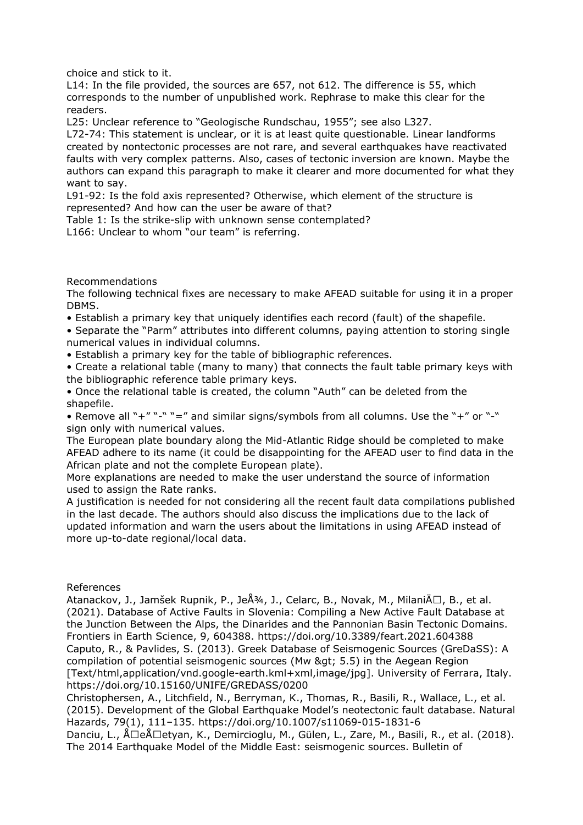choice and stick to it.

L14: In the file provided, the sources are 657, not 612. The difference is 55, which corresponds to the number of unpublished work. Rephrase to make this clear for the readers.

L25: Unclear reference to "Geologische Rundschau, 1955"; see also L327.

L72-74: This statement is unclear, or it is at least quite questionable. Linear landforms created by nontectonic processes are not rare, and several earthquakes have reactivated faults with very complex patterns. Also, cases of tectonic inversion are known. Maybe the authors can expand this paragraph to make it clearer and more documented for what they want to say.

L91-92: Is the fold axis represented? Otherwise, which element of the structure is represented? And how can the user be aware of that?

Table 1: Is the strike-slip with unknown sense contemplated?

L166: Unclear to whom "our team" is referring.

Recommendations

The following technical fixes are necessary to make AFEAD suitable for using it in a proper DBMS.

• Establish a primary key that uniquely identifies each record (fault) of the shapefile.

• Separate the "Parm" attributes into different columns, paying attention to storing single numerical values in individual columns.

• Establish a primary key for the table of bibliographic references.

• Create a relational table (many to many) that connects the fault table primary keys with the bibliographic reference table primary keys.

• Once the relational table is created, the column "Auth" can be deleted from the shapefile.

• Remove all "+" "-" "=" and similar signs/symbols from all columns. Use the "+" or "-" sign only with numerical values.

The European plate boundary along the Mid-Atlantic Ridge should be completed to make AFEAD adhere to its name (it could be disappointing for the AFEAD user to find data in the African plate and not the complete European plate).

More explanations are needed to make the user understand the source of information used to assign the Rate ranks.

A justification is needed for not considering all the recent fault data compilations published in the last decade. The authors should also discuss the implications due to the lack of updated information and warn the users about the limitations in using AFEAD instead of more up-to-date regional/local data.

## References

Atanackov, J., Jamšek Rupnik, P., Je $\hat{A}^{3/4}$ , J., Celarc, B., Novak, M., Milani $\hat{A} \Box$ , B., et al. (2021). Database of Active Faults in Slovenia: Compiling a New Active Fault Database at the Junction Between the Alps, the Dinarides and the Pannonian Basin Tectonic Domains. Frontiers in Earth Science, 9, 604388. https://doi.org/10.3389/feart.2021.604388 Caputo, R., & Pavlides, S. (2013). Greek Database of Seismogenic Sources (GreDaSS): A compilation of potential seismogenic sources (Mw > 5.5) in the Aegean Region [Text/html,application/vnd.google-earth.kml+xml,image/jpg]. University of Ferrara, Italy. https://doi.org/10.15160/UNIFE/GREDASS/0200

Christophersen, A., Litchfield, N., Berryman, K., Thomas, R., Basili, R., Wallace, L., et al. (2015). Development of the Global Earthquake Model's neotectonic fault database. Natural Hazards, 79(1), 111–135. https://doi.org/10.1007/s11069-015-1831-6

Danciu, L.,  $\text{Å}\square$ e $\text{Å}\square$ tvan, K., Demircioglu, M., Gülen, L., Zare, M., Basili, R., et al. (2018). The 2014 Earthquake Model of the Middle East: seismogenic sources. Bulletin of